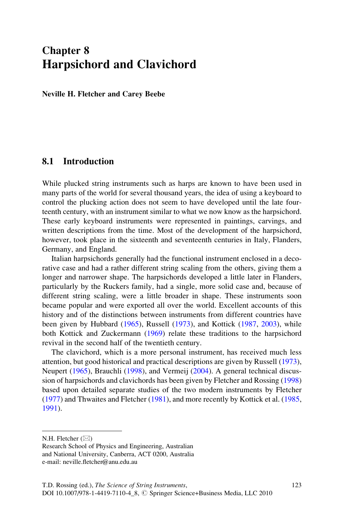# Chapter 8 Harpsichord and Clavichord

Neville H. Fletcher and Carey Beebe

# 8.1 Introduction

While plucked string instruments such as harps are known to have been used in many parts of the world for several thousand years, the idea of using a keyboard to control the plucking action does not seem to have developed until the late fourteenth century, with an instrument similar to what we now know as the harpsichord. These early keyboard instruments were represented in paintings, carvings, and written descriptions from the time. Most of the development of the harpsichord, however, took place in the sixteenth and seventeenth centuries in Italy, Flanders, Germany, and England.

Italian harpsichords generally had the functional instrument enclosed in a decorative case and had a rather different string scaling from the others, giving them a longer and narrower shape. The harpsichords developed a little later in Flanders, particularly by the Ruckers family, had a single, more solid case and, because of different string scaling, were a little broader in shape. These instruments soon became popular and were exported all over the world. Excellent accounts of this history and of the distinctions between instruments from different countries have been given by Hubbard ([1965\)](#page-20-0), Russell [\(1973](#page-20-0)), and Kottick ([1987,](#page-20-0) [2003\)](#page-20-0), while both Kottick and Zuckermann ([1969\)](#page-20-0) relate these traditions to the harpsichord revival in the second half of the twentieth century.

The clavichord, which is a more personal instrument, has received much less attention, but good historical and practical descriptions are given by Russell ([1973\)](#page-20-0), Neupert [\(1965](#page-20-0)), Brauchli ([1998\)](#page-20-0), and Vermeij ([2004\)](#page-20-0). A general technical discussion of harpsichords and clavichords has been given by Fletcher and Rossing [\(1998](#page-20-0)) based upon detailed separate studies of the two modern instruments by Fletcher [\(1977](#page-20-0)) and Thwaites and Fletcher ([1981\)](#page-20-0), and more recently by Kottick et al. [\(1985](#page-20-0), [1991\)](#page-20-0).

N.H. Fletcher  $(\boxtimes)$ 

Research School of Physics and Engineering, Australian and National University, Canberra, ACT 0200, Australia e-mail: neville.fletcher@anu.edu.au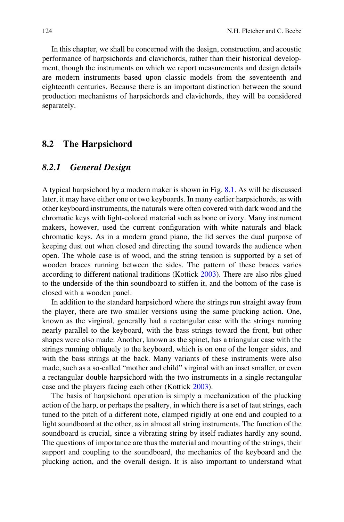In this chapter, we shall be concerned with the design, construction, and acoustic performance of harpsichords and clavichords, rather than their historical development, though the instruments on which we report measurements and design details are modern instruments based upon classic models from the seventeenth and eighteenth centuries. Because there is an important distinction between the sound production mechanisms of harpsichords and clavichords, they will be considered separately.

## 8.2 The Harpsichord

#### 8.2.1 General Design

A typical harpsichord by a modern maker is shown in Fig. [8.1.](#page-2-0) As will be discussed later, it may have either one or two keyboards. In many earlier harpsichords, as with other keyboard instruments, the naturals were often covered with dark wood and the chromatic keys with light-colored material such as bone or ivory. Many instrument makers, however, used the current configuration with white naturals and black chromatic keys. As in a modern grand piano, the lid serves the dual purpose of keeping dust out when closed and directing the sound towards the audience when open. The whole case is of wood, and the string tension is supported by a set of wooden braces running between the sides. The pattern of these braces varies according to different national traditions (Kottick [2003](#page-20-0)). There are also ribs glued to the underside of the thin soundboard to stiffen it, and the bottom of the case is closed with a wooden panel.

In addition to the standard harpsichord where the strings run straight away from the player, there are two smaller versions using the same plucking action. One, known as the virginal, generally had a rectangular case with the strings running nearly parallel to the keyboard, with the bass strings toward the front, but other shapes were also made. Another, known as the spinet, has a triangular case with the strings running obliquely to the keyboard, which is on one of the longer sides, and with the bass strings at the back. Many variants of these instruments were also made, such as a so-called "mother and child" virginal with an inset smaller, or even a rectangular double harpsichord with the two instruments in a single rectangular case and the players facing each other (Kottick [2003](#page-20-0)).

The basis of harpsichord operation is simply a mechanization of the plucking action of the harp, or perhaps the psaltery, in which there is a set of taut strings, each tuned to the pitch of a different note, clamped rigidly at one end and coupled to a light soundboard at the other, as in almost all string instruments. The function of the soundboard is crucial, since a vibrating string by itself radiates hardly any sound. The questions of importance are thus the material and mounting of the strings, their support and coupling to the soundboard, the mechanics of the keyboard and the plucking action, and the overall design. It is also important to understand what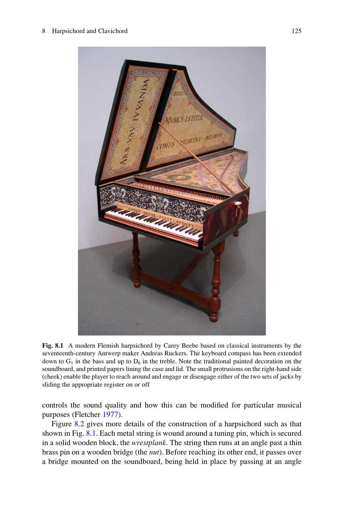<span id="page-2-0"></span>

Fig. 8.1 A modern Flemish harpsichord by Carey Beebe based on classical instruments by the seventeenth-century Antwerp maker Andreas Ruckers. The keyboard compass has been extended down to  $G_1$  in the bass and up to  $D_6$  in the treble. Note the traditional painted decoration on the soundboard, and printed papers lining the case and lid. The small protrusions on the right-hand side (cheek) enable the player to reach around and engage or disengage either of the two sets of jacks by sliding the appropriate register on or off

controls the sound quality and how this can be modified for particular musical purposes (Fletcher [1977](#page-20-0)).

Figure [8.2](#page-3-0) gives more details of the construction of a harpsichord such as that shown in Fig. 8.1. Each metal string is wound around a tuning pin, which is secured in a solid wooden block, the wrestplank. The string then runs at an angle past a thin brass pin on a wooden bridge (the nut). Before reaching its other end, it passes over a bridge mounted on the soundboard, being held in place by passing at an angle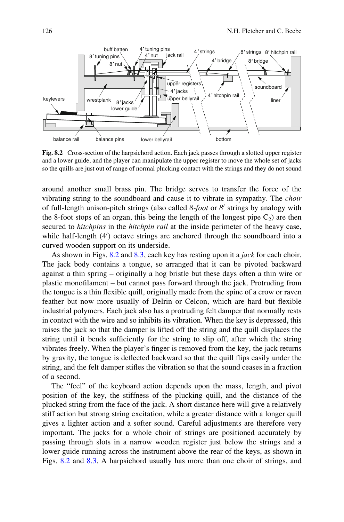<span id="page-3-0"></span>

Fig. 8.2 Cross-section of the harpsichord action. Each jack passes through a slotted upper register and a lower guide, and the player can manipulate the upper register to move the whole set of jacks so the quills are just out of range of normal plucking contact with the strings and they do not sound

around another small brass pin. The bridge serves to transfer the force of the vibrating string to the soundboard and cause it to vibrate in sympathy. The *choir* of full-length unison-pitch strings (also called  $8$ -foot or  $8'$  strings by analogy with the 8-foot stops of an organ, this being the length of the longest pipe  $C_2$ ) are then secured to *hitchpins* in the *hitchpin rail* at the inside perimeter of the heavy case, while half-length  $(4')$  octave strings are anchored through the soundboard into a curved wooden support on its underside.

As shown in Figs. 8.2 and [8.3,](#page-4-0) each key has resting upon it a *jack* for each choir. The jack body contains a tongue, so arranged that it can be pivoted backward against a thin spring – originally a hog bristle but these days often a thin wire or plastic monofilament – but cannot pass forward through the jack. Protruding from the tongue is a thin flexible quill, originally made from the spine of a crow or raven feather but now more usually of Delrin or Celcon, which are hard but flexible industrial polymers. Each jack also has a protruding felt damper that normally rests in contact with the wire and so inhibits its vibration. When the key is depressed, this raises the jack so that the damper is lifted off the string and the quill displaces the string until it bends sufficiently for the string to slip off, after which the string vibrates freely. When the player's finger is removed from the key, the jack returns by gravity, the tongue is deflected backward so that the quill flips easily under the string, and the felt damper stifles the vibration so that the sound ceases in a fraction of a second.

The "feel" of the keyboard action depends upon the mass, length, and pivot position of the key, the stiffness of the plucking quill, and the distance of the plucked string from the face of the jack. A short distance here will give a relatively stiff action but strong string excitation, while a greater distance with a longer quill gives a lighter action and a softer sound. Careful adjustments are therefore very important. The jacks for a whole choir of strings are positioned accurately by passing through slots in a narrow wooden register just below the strings and a lower guide running across the instrument above the rear of the keys, as shown in Figs. 8.2 and [8.3](#page-4-0). A harpsichord usually has more than one choir of strings, and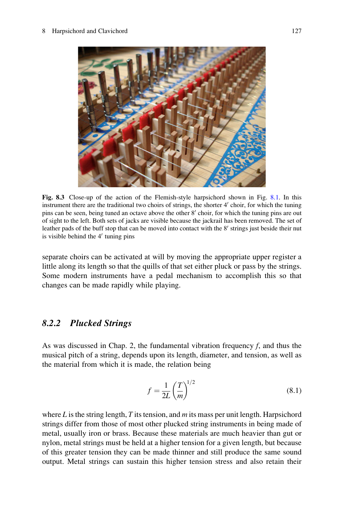<span id="page-4-0"></span>

Fig. 8.3 Close-up of the action of the Flemish-style harpsichord shown in Fig. [8.1](#page-2-0). In this instrument there are the traditional two choirs of strings, the shorter  $4'$  choir, for which the tuning pins can be seen, being tuned an octave above the other  $8'$  choir, for which the tuning pins are out of sight to the left. Both sets of jacks are visible because the jackrail has been removed. The set of leather pads of the buff stop that can be moved into contact with the 8' strings just beside their nut is visible behind the  $4'$  tuning pins

separate choirs can be activated at will by moving the appropriate upper register a little along its length so that the quills of that set either pluck or pass by the strings. Some modern instruments have a pedal mechanism to accomplish this so that changes can be made rapidly while playing.

## 8.2.2 Plucked Strings

As was discussed in Chap. 2, the fundamental vibration frequency  $f$ , and thus the musical pitch of a string, depends upon its length, diameter, and tension, as well as the material from which it is made, the relation being

$$
f = \frac{1}{2L} \left(\frac{T}{m}\right)^{1/2} \tag{8.1}
$$

where L is the string length, T its tension, and  $m$  its mass per unit length. Harpsichord strings differ from those of most other plucked string instruments in being made of metal, usually iron or brass. Because these materials are much heavier than gut or nylon, metal strings must be held at a higher tension for a given length, but because of this greater tension they can be made thinner and still produce the same sound output. Metal strings can sustain this higher tension stress and also retain their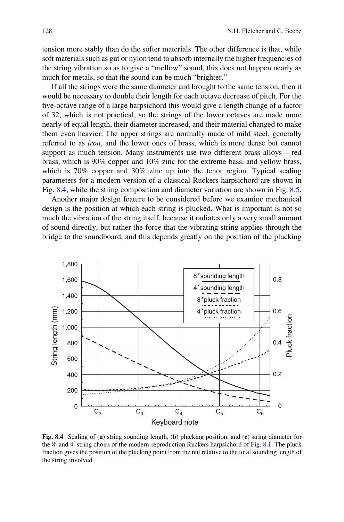<span id="page-5-0"></span>tension more stably than do the softer materials. The other difference is that, while soft materials such as gut or nylon tend to absorb internally the higher frequencies of the string vibration so as to give a "mellow" sound, this does not happen nearly as much for metals, so that the sound can be much "brighter."

If all the strings were the same diameter and brought to the same tension, then it would be necessary to double their length for each octave decrease of pitch. For the five-octave range of a large harpsichord this would give a length change of a factor of 32, which is not practical, so the strings of the lower octaves are made more nearly of equal length, their diameter increased, and their material changed to make them even heavier. The upper strings are normally made of mild steel, generally referred to as iron, and the lower ones of brass, which is more dense but cannot support as much tension. Many instruments use two different brass alloys – red brass, which is 90% copper and 10% zinc for the extreme bass, and yellow brass, which is 70% copper and 30% zinc up into the tenor region. Typical scaling parameters for a modern version of a classical Ruckers harpsichord are shown in Fig. 8.4, while the string composition and diameter variation are shown in Fig. [8.5](#page-6-0).

Another major design feature to be considered before we examine mechanical design is the position at which each string is plucked. What is important is not so much the vibration of the string itself, because it radiates only a very small amount of sound directly, but rather the force that the vibrating string applies through the bridge to the soundboard, and this depends greatly on the position of the plucking



Fig. 8.4 Scaling of (a) string sounding length, (b) plucking position, and (c) string diameter for the 8 $\degree$  and 4 $\degree$  string choirs of the modern-reproduction Ruckers harpsichord of Fig. [8.1.](#page-2-0) The pluck fraction gives the position of the plucking point from the nut relative to the total sounding length of the string involved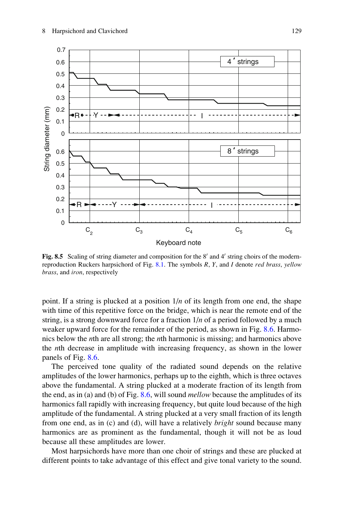<span id="page-6-0"></span>

Fig. 8.5 Scaling of string diameter and composition for the  $8'$  and  $4'$  string choirs of the modern-reproduction Ruckers harpsichord of Fig. [8.1](#page-2-0). The symbols  $R$ ,  $Y$ , and  $I$  denote *red brass*, yellow brass, and iron, respectively

point. If a string is plucked at a position  $1/n$  of its length from one end, the shape with time of this repetitive force on the bridge, which is near the remote end of the string, is a strong downward force for a fraction  $1/n$  of a period followed by a much weaker upward force for the remainder of the period, as shown in Fig. [8.6](#page-7-0). Harmonics below the nth are all strong; the nth harmonic is missing; and harmonics above the nth decrease in amplitude with increasing frequency, as shown in the lower panels of Fig. [8.6](#page-7-0).

The perceived tone quality of the radiated sound depends on the relative amplitudes of the lower harmonics, perhaps up to the eighth, which is three octaves above the fundamental. A string plucked at a moderate fraction of its length from the end, as in (a) and (b) of Fig. [8.6](#page-7-0), will sound *mellow* because the amplitudes of its harmonics fall rapidly with increasing frequency, but quite loud because of the high amplitude of the fundamental. A string plucked at a very small fraction of its length from one end, as in (c) and (d), will have a relatively bright sound because many harmonics are as prominent as the fundamental, though it will not be as loud because all these amplitudes are lower.

Most harpsichords have more than one choir of strings and these are plucked at different points to take advantage of this effect and give tonal variety to the sound.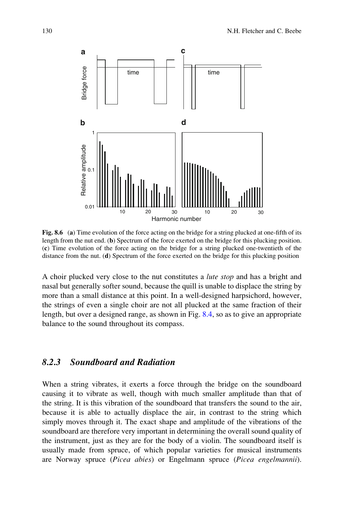<span id="page-7-0"></span>

Fig. 8.6 (a) Time evolution of the force acting on the bridge for a string plucked at one-fifth of its length from the nut end. (b) Spectrum of the force exerted on the bridge for this plucking position. (c) Time evolution of the force acting on the bridge for a string plucked one-twentieth of the distance from the nut. (d) Spectrum of the force exerted on the bridge for this plucking position

A choir plucked very close to the nut constitutes a lute stop and has a bright and nasal but generally softer sound, because the quill is unable to displace the string by more than a small distance at this point. In a well-designed harpsichord, however, the strings of even a single choir are not all plucked at the same fraction of their length, but over a designed range, as shown in Fig. [8.4](#page-5-0), so as to give an appropriate balance to the sound throughout its compass.

## 8.2.3 Soundboard and Radiation

When a string vibrates, it exerts a force through the bridge on the soundboard causing it to vibrate as well, though with much smaller amplitude than that of the string. It is this vibration of the soundboard that transfers the sound to the air, because it is able to actually displace the air, in contrast to the string which simply moves through it. The exact shape and amplitude of the vibrations of the soundboard are therefore very important in determining the overall sound quality of the instrument, just as they are for the body of a violin. The soundboard itself is usually made from spruce, of which popular varieties for musical instruments are Norway spruce (Picea abies) or Engelmann spruce (Picea engelmannii).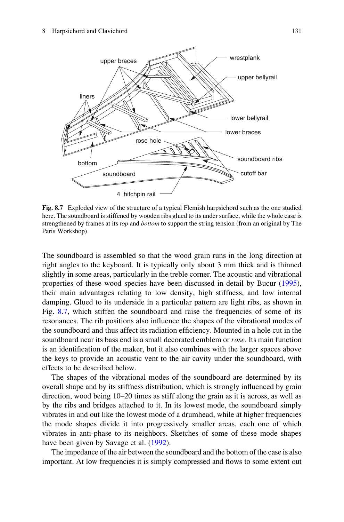

Fig. 8.7 Exploded view of the structure of a typical Flemish harpsichord such as the one studied here. The soundboard is stiffened by wooden ribs glued to its under surface, while the whole case is strengthened by frames at its *top* and *bottom* to support the string tension (from an original by The Paris Workshop)

The soundboard is assembled so that the wood grain runs in the long direction at right angles to the keyboard. It is typically only about 3 mm thick and is thinned slightly in some areas, particularly in the treble corner. The acoustic and vibrational properties of these wood species have been discussed in detail by Bucur ([1995\)](#page-20-0), their main advantages relating to low density, high stiffness, and low internal damping. Glued to its underside in a particular pattern are light ribs, as shown in Fig. 8.7, which stiffen the soundboard and raise the frequencies of some of its resonances. The rib positions also influence the shapes of the vibrational modes of the soundboard and thus affect its radiation efficiency. Mounted in a hole cut in the soundboard near its bass end is a small decorated emblem or rose. Its main function is an identification of the maker, but it also combines with the larger spaces above the keys to provide an acoustic vent to the air cavity under the soundboard, with effects to be described below.

The shapes of the vibrational modes of the soundboard are determined by its overall shape and by its stiffness distribution, which is strongly influenced by grain direction, wood being 10–20 times as stiff along the grain as it is across, as well as by the ribs and bridges attached to it. In its lowest mode, the soundboard simply vibrates in and out like the lowest mode of a drumhead, while at higher frequencies the mode shapes divide it into progressively smaller areas, each one of which vibrates in anti-phase to its neighbors. Sketches of some of these mode shapes have been given by Savage et al. ([1992\)](#page-20-0).

The impedance of the air between the soundboard and the bottom of the case is also important. At low frequencies it is simply compressed and flows to some extent out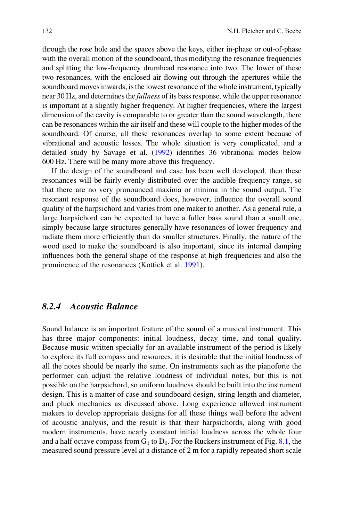through the rose hole and the spaces above the keys, either in-phase or out-of-phase with the overall motion of the soundboard, thus modifying the resonance frequencies and splitting the low-frequency drumhead resonance into two. The lower of these two resonances, with the enclosed air flowing out through the apertures while the soundboard moves inwards, is the lowest resonance of the whole instrument, typically near 30 Hz, and determines the fullness of its bass response, while the upper resonance is important at a slightly higher frequency. At higher frequencies, where the largest dimension of the cavity is comparable to or greater than the sound wavelength, there can be resonances within the air itself and these will couple to the higher modes of the soundboard. Of course, all these resonances overlap to some extent because of vibrational and acoustic losses. The whole situation is very complicated, and a detailed study by Savage et al. [\(1992\)](#page-20-0) identifies 36 vibrational modes below 600 Hz. There will be many more above this frequency.

If the design of the soundboard and case has been well developed, then these resonances will be fairly evenly distributed over the audible frequency range, so that there are no very pronounced maxima or minima in the sound output. The resonant response of the soundboard does, however, influence the overall sound quality of the harpsichord and varies from one maker to another. As a general rule, a large harpsichord can be expected to have a fuller bass sound than a small one, simply because large structures generally have resonances of lower frequency and radiate them more efficiently than do smaller structures. Finally, the nature of the wood used to make the soundboard is also important, since its internal damping influences both the general shape of the response at high frequencies and also the prominence of the resonances (Kottick et al. [1991\)](#page-20-0).

## 8.2.4 Acoustic Balance

Sound balance is an important feature of the sound of a musical instrument. This has three major components: initial loudness, decay time, and tonal quality. Because music written specially for an available instrument of the period is likely to explore its full compass and resources, it is desirable that the initial loudness of all the notes should be nearly the same. On instruments such as the pianoforte the performer can adjust the relative loudness of individual notes, but this is not possible on the harpsichord, so uniform loudness should be built into the instrument design. This is a matter of case and soundboard design, string length and diameter, and pluck mechanics as discussed above. Long experience allowed instrument makers to develop appropriate designs for all these things well before the advent of acoustic analysis, and the result is that their harpsichords, along with good modern instruments, have nearly constant initial loudness across the whole four and a half octave compass from  $G_1$  to  $D_6$ . For the Ruckers instrument of Fig. [8.1,](#page-2-0) the measured sound pressure level at a distance of 2 m for a rapidly repeated short scale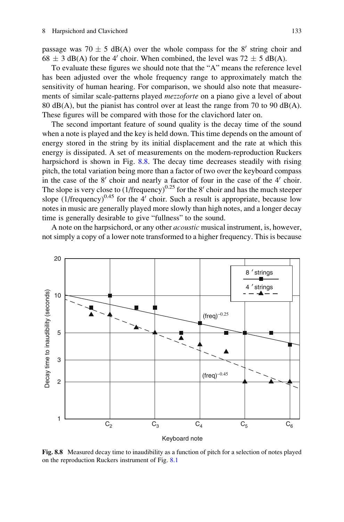passage was  $70 \pm 5$  dB(A) over the whole compass for the 8' string choir and  $68 \pm 3$  dB(A) for the 4' choir. When combined, the level was  $72 \pm 5$  dB(A).

To evaluate these figures we should note that the "A" means the reference level has been adjusted over the whole frequency range to approximately match the sensitivity of human hearing. For comparison, we should also note that measurements of similar scale-patterns played mezzoforte on a piano give a level of about 80 dB(A), but the pianist has control over at least the range from 70 to 90 dB(A). These figures will be compared with those for the clavichord later on.

The second important feature of sound quality is the decay time of the sound when a note is played and the key is held down. This time depends on the amount of energy stored in the string by its initial displacement and the rate at which this energy is dissipated. A set of measurements on the modern-reproduction Ruckers harpsichord is shown in Fig. 8.8. The decay time decreases steadily with rising pitch, the total variation being more than a factor of two over the keyboard compass in the case of the  $8'$  choir and nearly a factor of four in the case of the  $4'$  choir. The slope is very close to  $(1/\text{frequency})^{0.25}$  for the 8' choir and has the much steeper slope (1/frequency)<sup>0.45</sup> for the  $4'$  choir. Such a result is appropriate, because low notes in music are generally played more slowly than high notes, and a longer decay time is generally desirable to give "fullness" to the sound.

A note on the harpsichord, or any other *acoustic* musical instrument, is, however, not simply a copy of a lower note transformed to a higher frequency. This is because



Fig. 8.8 Measured decay time to inaudibility as a function of pitch for a selection of notes played on the reproduction Ruckers instrument of Fig. [8.1](#page-2-0)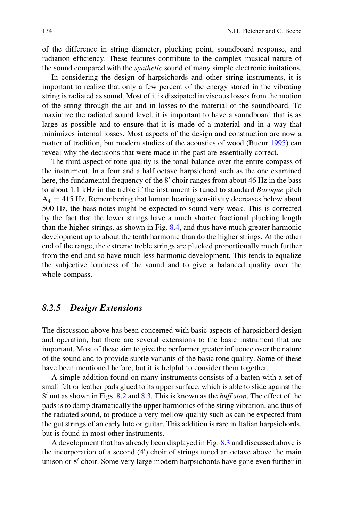of the difference in string diameter, plucking point, soundboard response, and radiation efficiency. These features contribute to the complex musical nature of the sound compared with the synthetic sound of many simple electronic imitations.

In considering the design of harpsichords and other string instruments, it is important to realize that only a few percent of the energy stored in the vibrating string is radiated as sound. Most of it is dissipated in viscous losses from the motion of the string through the air and in losses to the material of the soundboard. To maximize the radiated sound level, it is important to have a soundboard that is as large as possible and to ensure that it is made of a material and in a way that minimizes internal losses. Most aspects of the design and construction are now a matter of tradition, but modern studies of the acoustics of wood (Bucur [1995](#page-20-0)) can reveal why the decisions that were made in the past are essentially correct.

The third aspect of tone quality is the tonal balance over the entire compass of the instrument. In a four and a half octave harpsichord such as the one examined here, the fundamental frequency of the  $8'$  choir ranges from about 46 Hz in the bass to about 1.1 kHz in the treble if the instrument is tuned to standard Baroque pitch  $A_4 = 415$  Hz. Remembering that human hearing sensitivity decreases below about 500 Hz, the bass notes might be expected to sound very weak. This is corrected by the fact that the lower strings have a much shorter fractional plucking length than the higher strings, as shown in Fig. [8.4](#page-5-0), and thus have much greater harmonic development up to about the tenth harmonic than do the higher strings. At the other end of the range, the extreme treble strings are plucked proportionally much further from the end and so have much less harmonic development. This tends to equalize the subjective loudness of the sound and to give a balanced quality over the whole compass.

## 8.2.5 Design Extensions

The discussion above has been concerned with basic aspects of harpsichord design and operation, but there are several extensions to the basic instrument that are important. Most of these aim to give the performer greater influence over the nature of the sound and to provide subtle variants of the basic tone quality. Some of these have been mentioned before, but it is helpful to consider them together.

A simple addition found on many instruments consists of a batten with a set of small felt or leather pads glued to its upper surface, which is able to slide against the  $8'$  nut as shown in Figs. [8.2](#page-3-0) and [8.3.](#page-4-0) This is known as the *buff stop*. The effect of the pads is to damp dramatically the upper harmonics of the string vibration, and thus of the radiated sound, to produce a very mellow quality such as can be expected from the gut strings of an early lute or guitar. This addition is rare in Italian harpsichords, but is found in most other instruments.

A development that has already been displayed in Fig. [8.3](#page-4-0) and discussed above is the incorporation of a second  $(4')$  choir of strings tuned an octave above the main unison or  $8'$  choir. Some very large modern harpsichords have gone even further in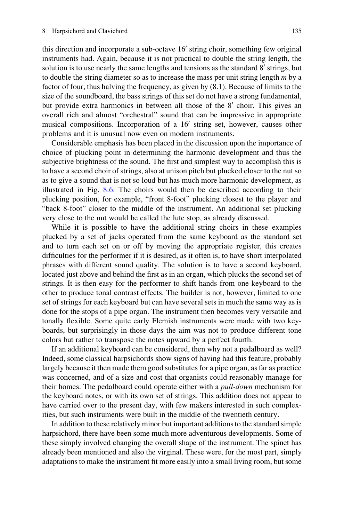this direction and incorporate a sub-octave  $16'$  string choir, something few original instruments had. Again, because it is not practical to double the string length, the solution is to use nearly the same lengths and tensions as the standard  $8'$  strings, but to double the string diameter so as to increase the mass per unit string length  $m$  by a factor of four, thus halving the frequency, as given by (8.1). Because of limits to the size of the soundboard, the bass strings of this set do not have a strong fundamental, but provide extra harmonics in between all those of the  $8'$  choir. This gives an overall rich and almost "orchestral" sound that can be impressive in appropriate musical compositions. Incorporation of a  $16<sup>\prime</sup>$  string set, however, causes other problems and it is unusual now even on modern instruments.

Considerable emphasis has been placed in the discussion upon the importance of choice of plucking point in determining the harmonic development and thus the subjective brightness of the sound. The first and simplest way to accomplish this is to have a second choir of strings, also at unison pitch but plucked closer to the nut so as to give a sound that is not so loud but has much more harmonic development, as illustrated in Fig. [8.6](#page-7-0). The choirs would then be described according to their plucking position, for example, "front 8-foot" plucking closest to the player and "back 8-foot" closer to the middle of the instrument. An additional set plucking very close to the nut would be called the lute stop, as already discussed.

While it is possible to have the additional string choirs in these examples plucked by a set of jacks operated from the same keyboard as the standard set and to turn each set on or off by moving the appropriate register, this creates difficulties for the performer if it is desired, as it often is, to have short interpolated phrases with different sound quality. The solution is to have a second keyboard, located just above and behind the first as in an organ, which plucks the second set of strings. It is then easy for the performer to shift hands from one keyboard to the other to produce tonal contrast effects. The builder is not, however, limited to one set of strings for each keyboard but can have several sets in much the same way as is done for the stops of a pipe organ. The instrument then becomes very versatile and tonally flexible. Some quite early Flemish instruments were made with two keyboards, but surprisingly in those days the aim was not to produce different tone colors but rather to transpose the notes upward by a perfect fourth.

If an additional keyboard can be considered, then why not a pedalboard as well? Indeed, some classical harpsichords show signs of having had this feature, probably largely because it then made them good substitutes for a pipe organ, as far as practice was concerned, and of a size and cost that organists could reasonably manage for their homes. The pedalboard could operate either with a pull-down mechanism for the keyboard notes, or with its own set of strings. This addition does not appear to have carried over to the present day, with few makers interested in such complexities, but such instruments were built in the middle of the twentieth century.

In addition to these relatively minor but important additions to the standard simple harpsichord, there have been some much more adventurous developments. Some of these simply involved changing the overall shape of the instrument. The spinet has already been mentioned and also the virginal. These were, for the most part, simply adaptations to make the instrument fit more easily into a small living room, but some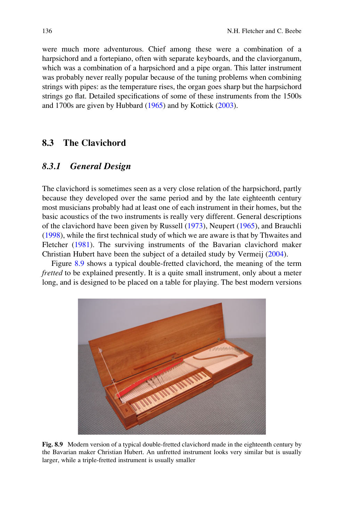<span id="page-13-0"></span>were much more adventurous. Chief among these were a combination of a harpsichord and a fortepiano, often with separate keyboards, and the claviorganum, which was a combination of a harpsichord and a pipe organ. This latter instrument was probably never really popular because of the tuning problems when combining strings with pipes: as the temperature rises, the organ goes sharp but the harpsichord strings go flat. Detailed specifications of some of these instruments from the 1500s and 1700s are given by Hubbard ([1965](#page-20-0)) and by Kottick ([2003](#page-20-0)).

## 8.3 The Clavichord

## 8.3.1 General Design

The clavichord is sometimes seen as a very close relation of the harpsichord, partly because they developed over the same period and by the late eighteenth century most musicians probably had at least one of each instrument in their homes, but the basic acoustics of the two instruments is really very different. General descriptions of the clavichord have been given by Russell [\(1973](#page-20-0)), Neupert ([1965\)](#page-20-0), and Brauchli [\(1998](#page-20-0)), while the first technical study of which we are aware is that by Thwaites and Fletcher [\(1981](#page-20-0)). The surviving instruments of the Bavarian clavichord maker Christian Hubert have been the subject of a detailed study by Vermeij ([2004\)](#page-20-0).

Figure 8.9 shows a typical double-fretted clavichord, the meaning of the term fretted to be explained presently. It is a quite small instrument, only about a meter long, and is designed to be placed on a table for playing. The best modern versions



Fig. 8.9 Modern version of a typical double-fretted clavichord made in the eighteenth century by the Bavarian maker Christian Hubert. An unfretted instrument looks very similar but is usually larger, while a triple-fretted instrument is usually smaller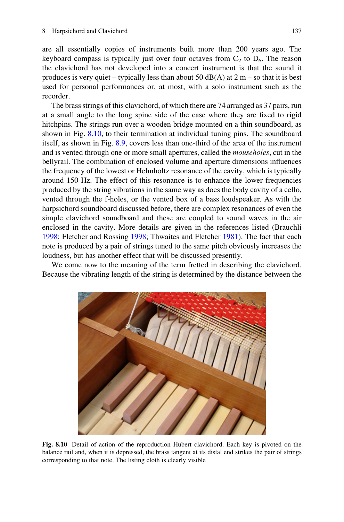<span id="page-14-0"></span>are all essentially copies of instruments built more than 200 years ago. The keyboard compass is typically just over four octaves from  $C_2$  to  $D_6$ . The reason the clavichord has not developed into a concert instrument is that the sound it produces is very quiet – typically less than about 50 dB(A) at  $2 \text{ m}$  – so that it is best used for personal performances or, at most, with a solo instrument such as the recorder.

The brass strings of this clavichord, of which there are 74 arranged as 37 pairs, run at a small angle to the long spine side of the case where they are fixed to rigid hitchpins. The strings run over a wooden bridge mounted on a thin soundboard, as shown in Fig. 8.10, to their termination at individual tuning pins. The soundboard itself, as shown in Fig. [8.9](#page-13-0), covers less than one-third of the area of the instrument and is vented through one or more small apertures, called the *mouseholes*, cut in the bellyrail. The combination of enclosed volume and aperture dimensions influences the frequency of the lowest or Helmholtz resonance of the cavity, which is typically around 150 Hz. The effect of this resonance is to enhance the lower frequencies produced by the string vibrations in the same way as does the body cavity of a cello, vented through the f-holes, or the vented box of a bass loudspeaker. As with the harpsichord soundboard discussed before, there are complex resonances of even the simple clavichord soundboard and these are coupled to sound waves in the air enclosed in the cavity. More details are given in the references listed (Brauchli [1998;](#page-20-0) Fletcher and Rossing [1998;](#page-20-0) Thwaites and Fletcher [1981\)](#page-20-0). The fact that each note is produced by a pair of strings tuned to the same pitch obviously increases the loudness, but has another effect that will be discussed presently.

We come now to the meaning of the term fretted in describing the clavichord. Because the vibrating length of the string is determined by the distance between the



Fig. 8.10 Detail of action of the reproduction Hubert clavichord. Each key is pivoted on the balance rail and, when it is depressed, the brass tangent at its distal end strikes the pair of strings corresponding to that note. The listing cloth is clearly visible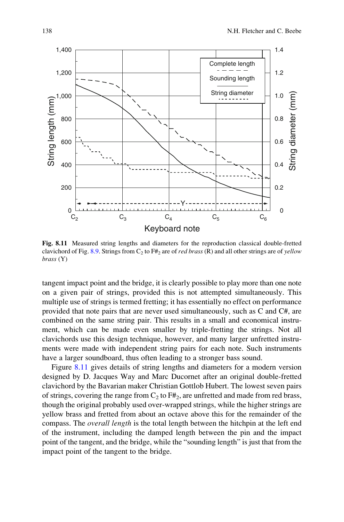

Fig. 8.11 Measured string lengths and diameters for the reproduction classical double-fretted clavichord of Fig. [8.9](#page-13-0). Strings from  $C_2$  to F#<sub>2</sub> are of *red brass* (R) and all other strings are of *yellow* brass (Y)

tangent impact point and the bridge, it is clearly possible to play more than one note on a given pair of strings, provided this is not attempted simultaneously. This multiple use of strings is termed fretting; it has essentially no effect on performance provided that note pairs that are never used simultaneously, such as C and C#, are combined on the same string pair. This results in a small and economical instrument, which can be made even smaller by triple-fretting the strings. Not all clavichords use this design technique, however, and many larger unfretted instruments were made with independent string pairs for each note. Such instruments have a larger soundboard, thus often leading to a stronger bass sound.

Figure 8.11 gives details of string lengths and diameters for a modern version designed by D. Jacques Way and Marc Ducornet after an original double-fretted clavichord by the Bavarian maker Christian Gottlob Hubert. The lowest seven pairs of strings, covering the range from  $C_2$  to  $F#_2$ , are unfretted and made from red brass, though the original probably used over-wrapped strings, while the higher strings are yellow brass and fretted from about an octave above this for the remainder of the compass. The overall length is the total length between the hitchpin at the left end of the instrument, including the damped length between the pin and the impact point of the tangent, and the bridge, while the "sounding length" is just that from the impact point of the tangent to the bridge.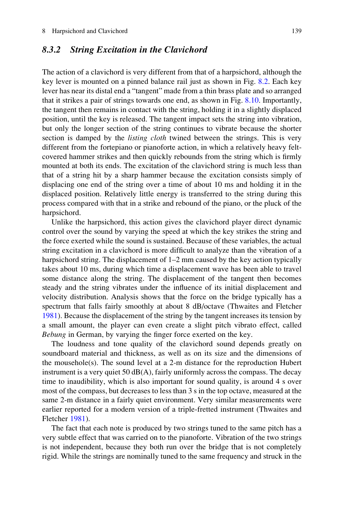## 8.3.2 String Excitation in the Clavichord

The action of a clavichord is very different from that of a harpsichord, although the key lever is mounted on a pinned balance rail just as shown in Fig. [8.2.](#page-3-0) Each key lever has near its distal end a "tangent" made from a thin brass plate and so arranged that it strikes a pair of strings towards one end, as shown in Fig. [8.10.](#page-14-0) Importantly, the tangent then remains in contact with the string, holding it in a slightly displaced position, until the key is released. The tangent impact sets the string into vibration, but only the longer section of the string continues to vibrate because the shorter section is damped by the *listing cloth* twined between the strings. This is very different from the fortepiano or pianoforte action, in which a relatively heavy feltcovered hammer strikes and then quickly rebounds from the string which is firmly mounted at both its ends. The excitation of the clavichord string is much less than that of a string hit by a sharp hammer because the excitation consists simply of displacing one end of the string over a time of about 10 ms and holding it in the displaced position. Relatively little energy is transferred to the string during this process compared with that in a strike and rebound of the piano, or the pluck of the harpsichord.

Unlike the harpsichord, this action gives the clavichord player direct dynamic control over the sound by varying the speed at which the key strikes the string and the force exerted while the sound is sustained. Because of these variables, the actual string excitation in a clavichord is more difficult to analyze than the vibration of a harpsichord string. The displacement of 1–2 mm caused by the key action typically takes about 10 ms, during which time a displacement wave has been able to travel some distance along the string. The displacement of the tangent then becomes steady and the string vibrates under the influence of its initial displacement and velocity distribution. Analysis shows that the force on the bridge typically has a spectrum that falls fairly smoothly at about 8 dB/octave (Thwaites and Fletcher [1981\)](#page-20-0). Because the displacement of the string by the tangent increases its tension by a small amount, the player can even create a slight pitch vibrato effect, called Bebung in German, by varying the finger force exerted on the key.

The loudness and tone quality of the clavichord sound depends greatly on soundboard material and thickness, as well as on its size and the dimensions of the mousehole(s). The sound level at a 2-m distance for the reproduction Hubert instrument is a very quiet 50 dB(A), fairly uniformly across the compass. The decay time to inaudibility, which is also important for sound quality, is around 4 s over most of the compass, but decreases to less than 3 s in the top octave, measured at the same 2-m distance in a fairly quiet environment. Very similar measurements were earlier reported for a modern version of a triple-fretted instrument (Thwaites and Fletcher [1981](#page-20-0)).

The fact that each note is produced by two strings tuned to the same pitch has a very subtle effect that was carried on to the pianoforte. Vibration of the two strings is not independent, because they both run over the bridge that is not completely rigid. While the strings are nominally tuned to the same frequency and struck in the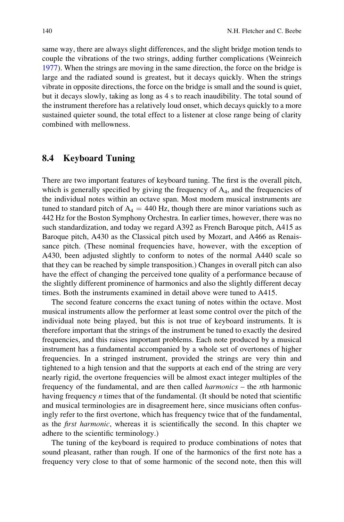same way, there are always slight differences, and the slight bridge motion tends to couple the vibrations of the two strings, adding further complications (Weinreich [1977\)](#page-20-0). When the strings are moving in the same direction, the force on the bridge is large and the radiated sound is greatest, but it decays quickly. When the strings vibrate in opposite directions, the force on the bridge is small and the sound is quiet, but it decays slowly, taking as long as 4 s to reach inaudibility. The total sound of the instrument therefore has a relatively loud onset, which decays quickly to a more sustained quieter sound, the total effect to a listener at close range being of clarity combined with mellowness.

## 8.4 Keyboard Tuning

There are two important features of keyboard tuning. The first is the overall pitch, which is generally specified by giving the frequency of  $A_4$ , and the frequencies of the individual notes within an octave span. Most modern musical instruments are tuned to standard pitch of  $A_4 = 440$  Hz, though there are minor variations such as 442 Hz for the Boston Symphony Orchestra. In earlier times, however, there was no such standardization, and today we regard A392 as French Baroque pitch, A415 as Baroque pitch, A430 as the Classical pitch used by Mozart, and A466 as Renaissance pitch. (These nominal frequencies have, however, with the exception of A430, been adjusted slightly to conform to notes of the normal A440 scale so that they can be reached by simple transposition.) Changes in overall pitch can also have the effect of changing the perceived tone quality of a performance because of the slightly different prominence of harmonics and also the slightly different decay times. Both the instruments examined in detail above were tuned to A415.

The second feature concerns the exact tuning of notes within the octave. Most musical instruments allow the performer at least some control over the pitch of the individual note being played, but this is not true of keyboard instruments. It is therefore important that the strings of the instrument be tuned to exactly the desired frequencies, and this raises important problems. Each note produced by a musical instrument has a fundamental accompanied by a whole set of overtones of higher frequencies. In a stringed instrument, provided the strings are very thin and tightened to a high tension and that the supports at each end of the string are very nearly rigid, the overtone frequencies will be almost exact integer multiples of the frequency of the fundamental, and are then called harmonics – the nth harmonic having frequency  $n$  times that of the fundamental. (It should be noted that scientific and musical terminologies are in disagreement here, since musicians often confusingly refer to the first overtone, which has frequency twice that of the fundamental, as the first harmonic, whereas it is scientifically the second. In this chapter we adhere to the scientific terminology.)

The tuning of the keyboard is required to produce combinations of notes that sound pleasant, rather than rough. If one of the harmonics of the first note has a frequency very close to that of some harmonic of the second note, then this will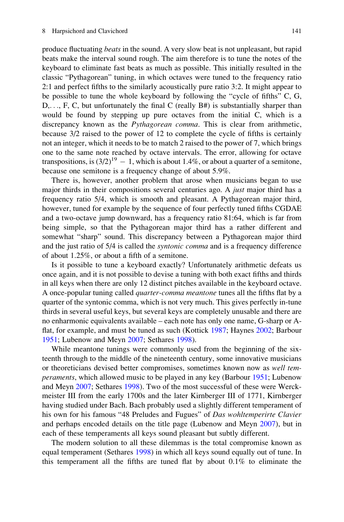produce fluctuating beats in the sound. A very slow beat is not unpleasant, but rapid beats make the interval sound rough. The aim therefore is to tune the notes of the keyboard to eliminate fast beats as much as possible. This initially resulted in the classic "Pythagorean" tuning, in which octaves were tuned to the frequency ratio 2:1 and perfect fifths to the similarly acoustically pure ratio 3:2. It might appear to be possible to tune the whole keyboard by following the "cycle of fifths" C, G, D,..., F, C, but unfortunately the final C (really B#) is substantially sharper than would be found by stepping up pure octaves from the initial C, which is a discrepancy known as the Pythagorean comma. This is clear from arithmetic, because 3/2 raised to the power of 12 to complete the cycle of fifths is certainly not an integer, which it needs to be to match 2 raised to the power of 7, which brings one to the same note reached by octave intervals. The error, allowing for octave transpositions, is  $(3/2)^{19} - 1$ , which is about 1.4%, or about a quarter of a semitone, because one semitone is a frequency change of about 5.9%.

There is, however, another problem that arose when musicians began to use major thirds in their compositions several centuries ago. A just major third has a frequency ratio 5/4, which is smooth and pleasant. A Pythagorean major third, however, tuned for example by the sequence of four perfectly tuned fifths CGDAE and a two-octave jump downward, has a frequency ratio 81:64, which is far from being simple, so that the Pythagorean major third has a rather different and somewhat "sharp" sound. This discrepancy between a Pythagorean major third and the just ratio of 5/4 is called the syntonic comma and is a frequency difference of about 1.25%, or about a fifth of a semitone.

Is it possible to tune a keyboard exactly? Unfortunately arithmetic defeats us once again, and it is not possible to devise a tuning with both exact fifths and thirds in all keys when there are only 12 distinct pitches available in the keyboard octave. A once-popular tuning called quarter-comma meantone tunes all the fifths flat by a quarter of the syntonic comma, which is not very much. This gives perfectly in-tune thirds in several useful keys, but several keys are completely unusable and there are no enharmonic equivalents available – each note has only one name, G-sharp or Aflat, for example, and must be tuned as such (Kottick [1987](#page-20-0); Haynes [2002](#page-20-0); Barbour [1951;](#page-20-0) Lubenow and Meyn [2007](#page-20-0); Sethares [1998](#page-20-0)).

While meantone tunings were commonly used from the beginning of the sixteenth through to the middle of the nineteenth century, some innovative musicians or theoreticians devised better compromises, sometimes known now as well temperaments, which allowed music to be played in any key (Barbour [1951](#page-20-0); Lubenow and Meyn [2007;](#page-20-0) Sethares [1998\)](#page-20-0). Two of the most successful of these were Werckmeister III from the early 1700s and the later Kirnberger III of 1771, Kirnberger having studied under Bach. Bach probably used a slightly different temperament of his own for his famous "48 Preludes and Fugues" of Das wohltemperirte Clavier and perhaps encoded details on the title page (Lubenow and Meyn [2007](#page-20-0)), but in each of these temperaments all keys sound pleasant but subtly different.

The modern solution to all these dilemmas is the total compromise known as equal temperament (Sethares [1998\)](#page-20-0) in which all keys sound equally out of tune. In this temperament all the fifths are tuned flat by about 0.1% to eliminate the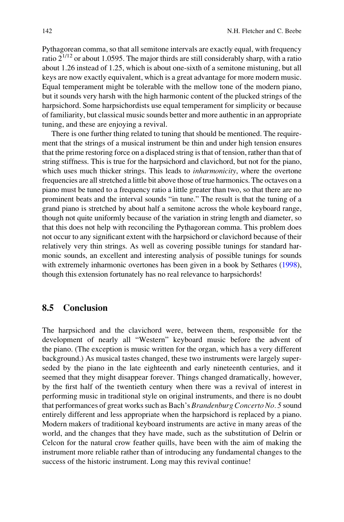Pythagorean comma, so that all semitone intervals are exactly equal, with frequency ratio  $2^{1/12}$  or about 1.0595. The major thirds are still considerably sharp, with a ratio about 1.26 instead of 1.25, which is about one-sixth of a semitone mistuning, but all keys are now exactly equivalent, which is a great advantage for more modern music. Equal temperament might be tolerable with the mellow tone of the modern piano, but it sounds very harsh with the high harmonic content of the plucked strings of the harpsichord. Some harpsichordists use equal temperament for simplicity or because of familiarity, but classical music sounds better and more authentic in an appropriate tuning, and these are enjoying a revival.

There is one further thing related to tuning that should be mentioned. The requirement that the strings of a musical instrument be thin and under high tension ensures that the prime restoring force on a displaced string is that of tension, rather than that of string stiffness. This is true for the harpsichord and clavichord, but not for the piano, which uses much thicker strings. This leads to *inharmonicity*, where the overtone frequencies are all stretched a little bit above those of true harmonics. The octaves on a piano must be tuned to a frequency ratio a little greater than two, so that there are no prominent beats and the interval sounds "in tune." The result is that the tuning of a grand piano is stretched by about half a semitone across the whole keyboard range, though not quite uniformly because of the variation in string length and diameter, so that this does not help with reconciling the Pythagorean comma. This problem does not occur to any significant extent with the harpsichord or clavichord because of their relatively very thin strings. As well as covering possible tunings for standard harmonic sounds, an excellent and interesting analysis of possible tunings for sounds with extremely inharmonic overtones has been given in a book by Sethares [\(1998\)](#page-20-0), though this extension fortunately has no real relevance to harpsichords!

#### 8.5 Conclusion

The harpsichord and the clavichord were, between them, responsible for the development of nearly all "Western" keyboard music before the advent of the piano. (The exception is music written for the organ, which has a very different background.) As musical tastes changed, these two instruments were largely superseded by the piano in the late eighteenth and early nineteenth centuries, and it seemed that they might disappear forever. Things changed dramatically, however, by the first half of the twentieth century when there was a revival of interest in performing music in traditional style on original instruments, and there is no doubt that performances of great works such as Bach's Brandenburg Concerto No. 5 sound entirely different and less appropriate when the harpsichord is replaced by a piano. Modern makers of traditional keyboard instruments are active in many areas of the world, and the changes that they have made, such as the substitution of Delrin or Celcon for the natural crow feather quills, have been with the aim of making the instrument more reliable rather than of introducing any fundamental changes to the success of the historic instrument. Long may this revival continue!